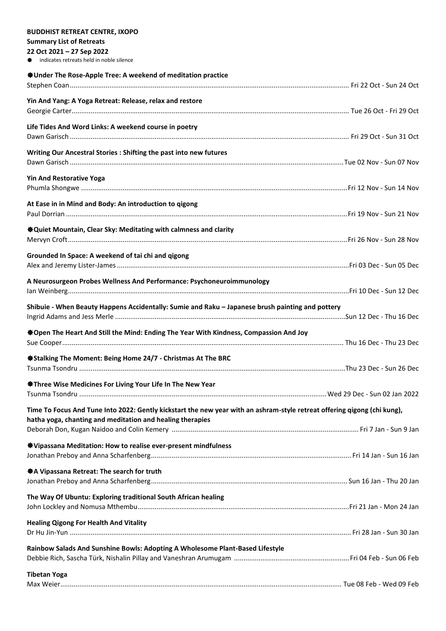| <b>BUDDHIST RETREAT CENTRE, IXOPO</b>                                                                                    |  |
|--------------------------------------------------------------------------------------------------------------------------|--|
| <b>Summary List of Retreats</b>                                                                                          |  |
| 22 Oct 2021 - 27 Sep 2022                                                                                                |  |
| <b><math>\triangleq</math></b> indicates retreats held in noble silence                                                  |  |
| <b><math>\triangleq</math>Under The Rose-Apple Tree: A weekend of meditation practice</b>                                |  |
|                                                                                                                          |  |
| Yin And Yang: A Yoga Retreat: Release, relax and restore                                                                 |  |
|                                                                                                                          |  |
|                                                                                                                          |  |
| Life Tides And Word Links: A weekend course in poetry                                                                    |  |
|                                                                                                                          |  |
| Writing Our Ancestral Stories : Shifting the past into new futures                                                       |  |
|                                                                                                                          |  |
|                                                                                                                          |  |
| <b>Yin And Restorative Yoga</b>                                                                                          |  |
|                                                                                                                          |  |
| At Ease in in Mind and Body: An introduction to qigong                                                                   |  |
|                                                                                                                          |  |
|                                                                                                                          |  |
| <b><math>\bigcirc</math></b> Quiet Mountain, Clear Sky: Meditating with calmness and clarity                             |  |
|                                                                                                                          |  |
| Grounded In Space: A weekend of tai chi and qigong                                                                       |  |
|                                                                                                                          |  |
| A Neurosurgeon Probes Wellness And Performance: Psychoneuroimmunology                                                    |  |
|                                                                                                                          |  |
|                                                                                                                          |  |
| Shibuie - When Beauty Happens Accidentally: Sumie and Raku - Japanese brush painting and pottery                         |  |
|                                                                                                                          |  |
| ※Open The Heart And Still the Mind: Ending The Year With Kindness, Compassion And Joy                                    |  |
|                                                                                                                          |  |
|                                                                                                                          |  |
| ● Stalking The Moment: Being Home 24/7 - Christmas At The BRC                                                            |  |
|                                                                                                                          |  |
| <b>Status</b> Three Wise Medicines For Living Your Life In The New Year                                                  |  |
|                                                                                                                          |  |
|                                                                                                                          |  |
| Time To Focus And Tune Into 2022: Gently kickstart the new year with an ashram-style retreat offering qigong (chi kung), |  |
| hatha yoga, chanting and meditation and healing therapies                                                                |  |
|                                                                                                                          |  |
| <b><math>\clubsuit</math></b> Vipassana Meditation: How to realise ever-present mindfulness                              |  |
|                                                                                                                          |  |
| ※ A Vipassana Retreat: The search for truth                                                                              |  |
|                                                                                                                          |  |
|                                                                                                                          |  |
| The Way Of Ubuntu: Exploring traditional South African healing                                                           |  |
|                                                                                                                          |  |
| <b>Healing Qigong For Health And Vitality</b>                                                                            |  |
|                                                                                                                          |  |
|                                                                                                                          |  |
| Rainbow Salads And Sunshine Bowls: Adopting A Wholesome Plant-Based Lifestyle                                            |  |
|                                                                                                                          |  |
| <b>Tibetan Yoga</b>                                                                                                      |  |
|                                                                                                                          |  |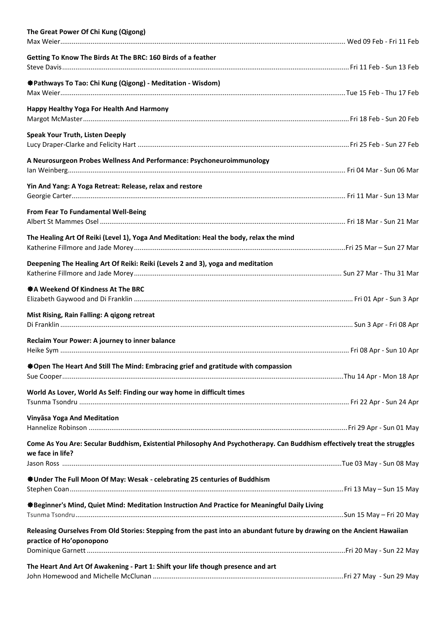| The Great Power Of Chi Kung (Qigong)                                                                                                          |  |
|-----------------------------------------------------------------------------------------------------------------------------------------------|--|
| Getting To Know The Birds At The BRC: 160 Birds of a feather                                                                                  |  |
| ※ Pathways To Tao: Chi Kung (Qigong) - Meditation - Wisdom)                                                                                   |  |
| Happy Healthy Yoga For Health And Harmony                                                                                                     |  |
| <b>Speak Your Truth, Listen Deeply</b>                                                                                                        |  |
| A Neurosurgeon Probes Wellness And Performance: Psychoneuroimmunology                                                                         |  |
| Yin And Yang: A Yoga Retreat: Release, relax and restore                                                                                      |  |
| <b>From Fear To Fundamental Well-Being</b>                                                                                                    |  |
| The Healing Art Of Reiki (Level 1), Yoga And Meditation: Heal the body, relax the mind                                                        |  |
| Deepening The Healing Art Of Reiki: Reiki (Levels 2 and 3), yoga and meditation                                                               |  |
| ※ A Weekend Of Kindness At The BRC                                                                                                            |  |
| Mist Rising, Rain Falling: A qigong retreat                                                                                                   |  |
| Reclaim Your Power: A journey to inner balance                                                                                                |  |
| <b>*Open The Heart And Still The Mind: Embracing grief and gratitude with compassion</b>                                                      |  |
| World As Lover, World As Self: Finding our way home in difficult times                                                                        |  |
| Vinyāsa Yoga And Meditation                                                                                                                   |  |
| Come As You Are: Secular Buddhism, Existential Philosophy And Psychotherapy. Can Buddhism effectively treat the struggles<br>we face in life? |  |
| ※ Under The Full Moon Of May: Wesak - celebrating 25 centuries of Buddhism                                                                    |  |
| ※Beginner's Mind, Quiet Mind: Meditation Instruction And Practice for Meaningful Daily Living                                                 |  |
| Releasing Ourselves From Old Stories: Stepping from the past into an abundant future by drawing on the Ancient Hawaiian                       |  |
| practice of Ho'oponopono                                                                                                                      |  |
| The Heart And Art Of Awakening - Part 1: Shift your life though presence and art                                                              |  |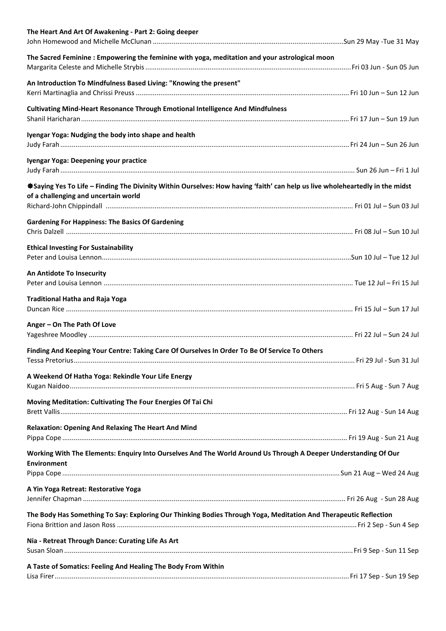| The Heart And Art Of Awakening - Part 2: Going deeper                                                                                                                |  |
|----------------------------------------------------------------------------------------------------------------------------------------------------------------------|--|
| The Sacred Feminine: Empowering the feminine with yoga, meditation and your astrological moon                                                                        |  |
| An Introduction To Mindfulness Based Living: "Knowing the present"                                                                                                   |  |
| Cultivating Mind-Heart Resonance Through Emotional Intelligence And Mindfulness                                                                                      |  |
| Iyengar Yoga: Nudging the body into shape and health                                                                                                                 |  |
| Iyengar Yoga: Deepening your practice                                                                                                                                |  |
| *Saying Yes To Life – Finding The Divinity Within Ourselves: How having 'faith' can help us live wholeheartedly in the midst<br>of a challenging and uncertain world |  |
|                                                                                                                                                                      |  |
| <b>Gardening For Happiness: The Basics Of Gardening</b>                                                                                                              |  |
| <b>Ethical Investing For Sustainability</b>                                                                                                                          |  |
| An Antidote To Insecurity                                                                                                                                            |  |
| <b>Traditional Hatha and Raja Yoga</b>                                                                                                                               |  |
| Anger - On The Path Of Love                                                                                                                                          |  |
| Finding And Keeping Your Centre: Taking Care Of Ourselves In Order To Be Of Service To Others                                                                        |  |
| A Weekend Of Hatha Yoga: Rekindle Your Life Energy                                                                                                                   |  |
| Moving Meditation: Cultivating The Four Energies Of Tai Chi                                                                                                          |  |
| <b>Relaxation: Opening And Relaxing The Heart And Mind</b>                                                                                                           |  |
| Working With The Elements: Enquiry Into Ourselves And The World Around Us Through A Deeper Understanding Of Our<br><b>Environment</b>                                |  |
|                                                                                                                                                                      |  |
| A Yin Yoga Retreat: Restorative Yoga                                                                                                                                 |  |
| The Body Has Something To Say: Exploring Our Thinking Bodies Through Yoga, Meditation And Therapeutic Reflection                                                     |  |
| Nia - Retreat Through Dance: Curating Life As Art                                                                                                                    |  |
| A Taste of Somatics: Feeling And Healing The Body From Within                                                                                                        |  |